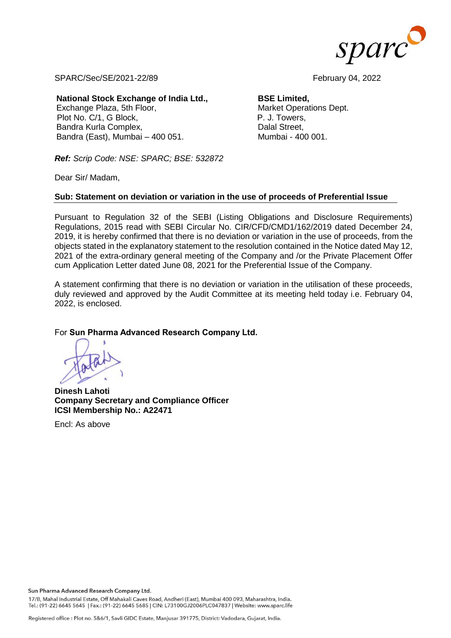

SPARC/Sec/SE/2021-22/89 February 04, 2022

#### **National Stock Exchange of India Ltd.,**

Exchange Plaza, 5th Floor, Plot No. C/1, G Block, Bandra Kurla Complex, Bandra (East), Mumbai – 400 051.

# **BSE Limited,**

Market Operations Dept. P. J. Towers, Dalal Street, Mumbai - 400 001.

*Ref: Scrip Code: NSE: SPARC; BSE: 532872*

Dear Sir/ Madam,

## **Sub: Statement on deviation or variation in the use of proceeds of Preferential Issue**

Pursuant to Regulation 32 of the SEBI (Listing Obligations and Disclosure Requirements) Regulations, 2015 read with SEBI Circular No. CIR/CFD/CMD1/162/2019 dated December 24, 2019, it is hereby confirmed that there is no deviation or variation in the use of proceeds, from the objects stated in the explanatory statement to the resolution contained in the Notice dated May 12, 2021 of the extra-ordinary general meeting of the Company and /or the Private Placement Offer cum Application Letter dated June 08, 2021 for the Preferential Issue of the Company.

A statement confirming that there is no deviation or variation in the utilisation of these proceeds, duly reviewed and approved by the Audit Committee at its meeting held today i.e. February 04, 2022, is enclosed.

### For **Sun Pharma Advanced Research Company Ltd.**

**Dinesh Lahoti Company Secretary and Compliance Officer ICSI Membership No.: A22471**

Encl: As above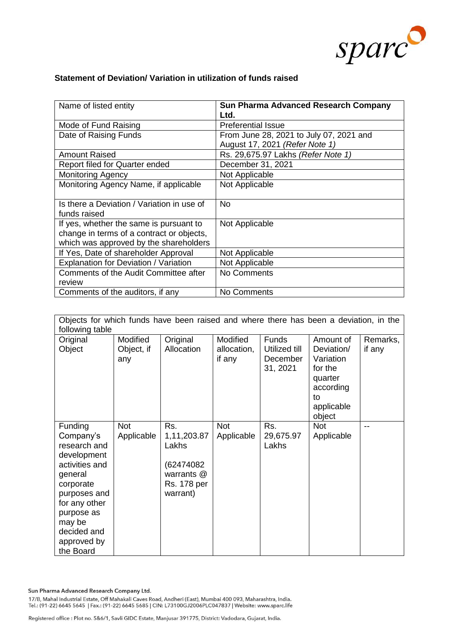

## **Statement of Deviation/ Variation in utilization of funds raised**

| Name of listed entity                                                                                                          | <b>Sun Pharma Advanced Research Company</b><br>Ltd. |
|--------------------------------------------------------------------------------------------------------------------------------|-----------------------------------------------------|
| Mode of Fund Raising                                                                                                           | <b>Preferential Issue</b>                           |
| Date of Raising Funds                                                                                                          | From June 28, 2021 to July 07, 2021 and             |
|                                                                                                                                | August 17, 2021 (Refer Note 1)                      |
| <b>Amount Raised</b>                                                                                                           | Rs. 29,675.97 Lakhs (Refer Note 1)                  |
| Report filed for Quarter ended                                                                                                 | December 31, 2021                                   |
| <b>Monitoring Agency</b>                                                                                                       | Not Applicable                                      |
| Monitoring Agency Name, if applicable                                                                                          | Not Applicable                                      |
| Is there a Deviation / Variation in use of<br>funds raised                                                                     | No                                                  |
| If yes, whether the same is pursuant to<br>change in terms of a contract or objects,<br>which was approved by the shareholders | Not Applicable                                      |
| If Yes, Date of shareholder Approval                                                                                           | Not Applicable                                      |
| Explanation for Deviation / Variation                                                                                          | Not Applicable                                      |
| Comments of the Audit Committee after                                                                                          | No Comments                                         |
| review                                                                                                                         |                                                     |
| Comments of the auditors, if any                                                                                               | No Comments                                         |

| Objects for which funds have been raised and where there has been a deviation, in the                                                                                                                    |                               |                                                                                    |                                   |                                                       |                                                                                                       |                    |  |
|----------------------------------------------------------------------------------------------------------------------------------------------------------------------------------------------------------|-------------------------------|------------------------------------------------------------------------------------|-----------------------------------|-------------------------------------------------------|-------------------------------------------------------------------------------------------------------|--------------------|--|
| following table                                                                                                                                                                                          |                               |                                                                                    |                                   |                                                       |                                                                                                       |                    |  |
| Original<br>Object                                                                                                                                                                                       | Modified<br>Object, if<br>any | Original<br>Allocation                                                             | Modified<br>allocation,<br>if any | <b>Funds</b><br>Utilized till<br>December<br>31, 2021 | Amount of<br>Deviation/<br>Variation<br>for the<br>quarter<br>according<br>to<br>applicable<br>object | Remarks,<br>if any |  |
| <b>Funding</b><br>Company's<br>research and<br>development<br>activities and<br>general<br>corporate<br>purposes and<br>for any other<br>purpose as<br>may be<br>decided and<br>approved by<br>the Board | <b>Not</b><br>Applicable      | Rs.<br>1,11,203.87<br>Lakhs<br>(62474082)<br>warrants @<br>Rs. 178 per<br>warrant) | <b>Not</b><br>Applicable          | Rs.<br>29,675.97<br>Lakhs                             | <b>Not</b><br>Applicable                                                                              |                    |  |

Sun Pharma Advanced Research Company Ltd.

17/B, Mahal Industrial Estate, Off Mahakali Caves Road, Andheri (East), Mumbai 400 093, Maharashtra, India.<br>Tel.: (91-22) 6645 5645 |Fax.: (91-22) 6645 5685 | CIN: L73100GJ2006PLC047837 | Website: www.sparc.life

Registered office : Plot no. 5&6/1, Savli GIDC Estate, Manjusar 391775, District: Vadodara, Gujarat, India.